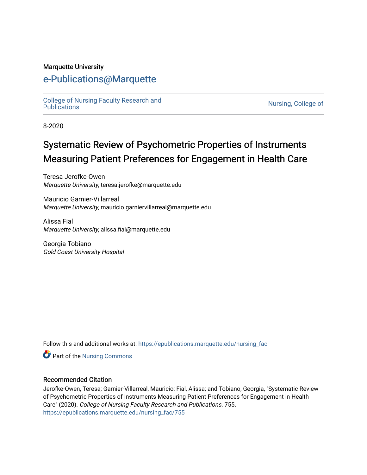#### Marquette University

# [e-Publications@Marquette](https://epublications.marquette.edu/)

[College of Nursing Faculty Research and](https://epublications.marquette.edu/nursing_fac)<br>Publications

Nursing, College of

8-2020

# Systematic Review of Psychometric Properties of Instruments Measuring Patient Preferences for Engagement in Health Care

Teresa Jerofke-Owen Marquette University, teresa.jerofke@marquette.edu

Mauricio Garnier-Villarreal Marquette University, mauricio.garniervillarreal@marquette.edu

Alissa Fial Marquette University, alissa.fial@marquette.edu

Georgia Tobiano Gold Coast University Hospital

Follow this and additional works at: [https://epublications.marquette.edu/nursing\\_fac](https://epublications.marquette.edu/nursing_fac?utm_source=epublications.marquette.edu%2Fnursing_fac%2F755&utm_medium=PDF&utm_campaign=PDFCoverPages)

Part of the [Nursing Commons](http://network.bepress.com/hgg/discipline/718?utm_source=epublications.marquette.edu%2Fnursing_fac%2F755&utm_medium=PDF&utm_campaign=PDFCoverPages) 

#### Recommended Citation

Jerofke-Owen, Teresa; Garnier-Villarreal, Mauricio; Fial, Alissa; and Tobiano, Georgia, "Systematic Review of Psychometric Properties of Instruments Measuring Patient Preferences for Engagement in Health Care" (2020). College of Nursing Faculty Research and Publications. 755. [https://epublications.marquette.edu/nursing\\_fac/755](https://epublications.marquette.edu/nursing_fac/755?utm_source=epublications.marquette.edu%2Fnursing_fac%2F755&utm_medium=PDF&utm_campaign=PDFCoverPages)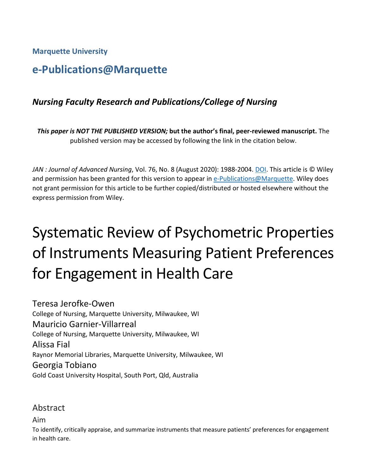**Marquette University**

# **e-Publications@Marquette**

# *Nursing Faculty Research and Publications/College of Nursing*

*This paper is NOT THE PUBLISHED VERSION;* **but the author's final, peer-reviewed manuscript.** The published version may be accessed by following the link in the citation below.

*JAN : Journal of Advanced Nursing*, Vol. 76, No. 8 (August 2020): 1988-2004. [DOI.](https://doi.org/10.1111/jan.14402) This article is © Wiley and permission has been granted for this version to appear in [e-Publications@Marquette.](http://epublications.marquette.edu/) Wiley does not grant permission for this article to be further copied/distributed or hosted elsewhere without the express permission from Wiley.

# Systematic Review of Psychometric Properties of Instruments Measuring Patient Preferences for Engagement in Health Care

Teresa Jerofke-Owen College of Nursing, Marquette University, Milwaukee, WI Mauricio Garnier-Villarreal College of Nursing, Marquette University, Milwaukee, WI Alissa Fial Raynor Memorial Libraries, Marquette University, Milwaukee, WI Georgia Tobiano Gold Coast University Hospital, South Port, Qld, Australia

## Abstract

Aim

To identify, critically appraise, and summarize instruments that measure patients' preferences for engagement in health care.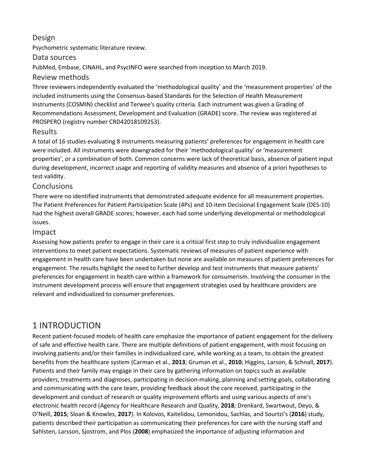#### Design

Psychometric systematic literature review.

#### Data sources

PubMed, Embase, CINAHL, and PsycINFO were searched from inception to March 2019.

#### Review methods

Three reviewers independently evaluated the 'methodological quality' and the 'measurement properties' of the included instruments using the Consensus-based Standards for the Selection of Health Measurement Instruments (COSMIN) checklist and Terwee's quality criteria. Each instrument was given a Grading of Recommendations Assessment, Development and Evaluation (GRADE) score. The review was registered at PROSPERO (registry number CRD42018109253).

#### Results

A total of 16 studies evaluating 8 instruments measuring patients' preferences for engagement in health care were included. All instruments were downgraded for their 'methodological quality' or 'measurement properties', or a combination of both. Common concerns were lack of theoretical basis, absence of patient input during development, incorrect usage and reporting of validity measures and absence of a priori hypotheses to test validity.

#### Conclusions

There were no identified instruments that demonstrated adequate evidence for all measurement properties. The Patient Preferences for Patient Participation Scale (4Ps) and 10-item Decisional Engagement Scale (DES-10) had the highest overall GRADE scores; however, each had some underlying developmental or methodological issues.

#### Impact

Assessing how patients prefer to engage in their care is a critical first step to truly individualize engagement interventions to meet patient expectations. Systematic reviews of measures of patient experience with engagement in health care have been undertaken but none are available on measures of patient preferences for engagement. The results highlight the need to further develop and test instruments that measure patients' preferences for engagement in health care within a framework for consumerism. Involving the consumer in the instrument development process will ensure that engagement strategies used by healthcare providers are relevant and individualized to consumer preferences.

# 1 INTRODUCTION

Recent patient-focused models of health care emphasize the importance of patient engagement for the delivery of safe and effective health care. There are multiple definitions of patient engagement, with most focusing on involving patients and/or their families in individualized care, while working as a team, to obtain the greatest benefits from the healthcare system (Carman et al., **2013**; Gruman et al., **2010**; Higgins, Larson, & Schnall, **2017**). Patients and their family may engage in their care by gathering information on topics such as available providers, treatments and diagnoses, participating in decision-making, planning and setting goals, collaborating and communicating with the care team, providing feedback about the care received, participating in the development and conduct of research or quality improvement efforts and using various aspects of one's electronic health record (Agency for Healthcare Research and Quality, **2018**; Drenkard, Swartwout, Deyo, & O'Neill, **2015**; Sloan & Knowles, **2017**). In Kolovos, Kaitelidou, Lemonidou, Sachlas, and Sourtzi's (**2016**) study, patients described their participation as communicating their preferences for care with the nursing staff and Sahlsten, Larsson, Sjostrom, and Plos (**2008**) emphasized the importance of adjusting information and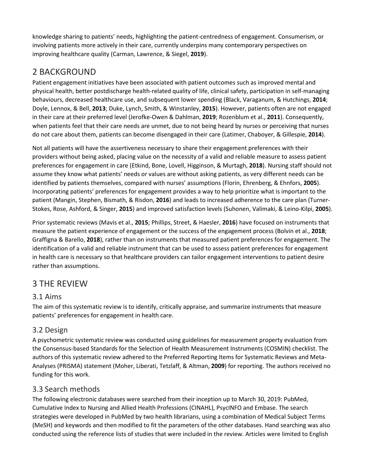knowledge sharing to patients' needs, highlighting the patient-centredness of engagement. Consumerism, or involving patients more actively in their care, currently underpins many contemporary perspectives on improving healthcare quality (Carman, Lawrence, & Siegel, **2019**).

# 2 BACKGROUND

Patient engagement initiatives have been associated with patient outcomes such as improved mental and physical health, better postdischarge health-related quality of life, clinical safety, participation in self-managing behaviours, decreased healthcare use, and subsequent lower spending (Black, Varaganum, & Hutchings, **2014**; Doyle, Lennox, & Bell, **2013**; Duke, Lynch, Smith, & Winstanley, **2015**). However, patients often are not engaged in their care at their preferred level (Jerofke-Owen & Dahlman, **2019**; Rozenblum et al., **2011**). Consequently, when patients feel that their care needs are unmet, due to not being heard by nurses or perceiving that nurses do not care about them, patients can become disengaged in their care (Latimer, Chaboyer, & Gillespie, **2014**).

Not all patients will have the assertiveness necessary to share their engagement preferences with their providers without being asked, placing value on the necessity of a valid and reliable measure to assess patient preferences for engagement in care (Etkind, Bone, Lovell, Higginson, & Murtagh, **2018**). Nursing staff should not assume they know what patients' needs or values are without asking patients, as very different needs can be identified by patients themselves, compared with nurses' assumptions (Florin, Ehrenberg, & Ehnfors, **2005**). Incorporating patients' preferences for engagement provides a way to help prioritize what is important to the patient (Mangin, Stephen, Bismath, & Risdon, **2016**) and leads to increased adherence to the care plan (Turner-Stokes, Rose, Ashford, & Singer, **2015**) and improved satisfaction levels (Suhonen, Valimaki, & Leino-Kilpi, **2005**).

Prior systematic reviews (Mavis et al., **2015**; Phillips, Street, & Haesler, **2016**) have focused on instruments that measure the patient experience of engagement or the success of the engagement process (Bolvin et al., **2018**; Graffigna & Barello, **2018**), rather than on instruments that measured patient preferences for engagement. The identification of a valid and reliable instrument that can be used to assess patient preferences for engagement in health care is necessary so that healthcare providers can tailor engagement interventions to patient desire rather than assumptions.

# 3 THE REVIEW

## 3.1 Aims

The aim of this systematic review is to identify, critically appraise, and summarize instruments that measure patients' preferences for engagement in health care.

## 3.2 Design

A psychometric systematic review was conducted using guidelines for measurement property evaluation from the Consensus-based Standards for the Selection of Health Measurement Instruments (COSMIN) checklist. The authors of this systematic review adhered to the Preferred Reporting Items for Systematic Reviews and Meta-Analyses (PRISMA) statement (Moher, Liberati, Tetzlaff, & Altman, **2009**) for reporting. The authors received no funding for this work.

## 3.3 Search methods

The following electronic databases were searched from their inception up to March 30, 2019: PubMed, Cumulative Index to Nursing and Allied Health Professions (CINAHL), PsycINFO and Embase. The search strategies were developed in PubMed by two health librarians, using a combination of Medical Subject Terms (MeSH) and keywords and then modified to fit the parameters of the other databases. Hand searching was also conducted using the reference lists of studies that were included in the review. Articles were limited to English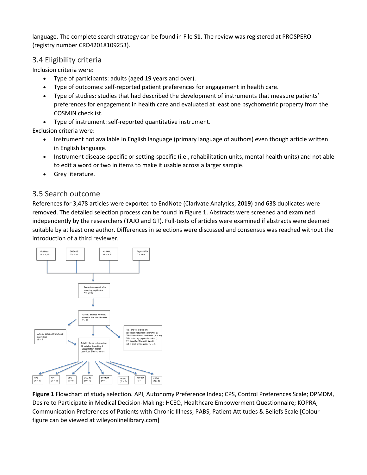language. The complete search strategy can be found in File **S1**. The review was registered at PROSPERO (registry number CRD42018109253).

### 3.4 Eligibility criteria

Inclusion criteria were:

- Type of participants: adults (aged 19 years and over).
- Type of outcomes: self-reported patient preferences for engagement in health care.
- Type of studies: studies that had described the development of instruments that measure patients' preferences for engagement in health care and evaluated at least one psychometric property from the COSMIN checklist.
- Type of instrument: self-reported quantitative instrument.

Exclusion criteria were:

- Instrument not available in English language (primary language of authors) even though article written in English language.
- Instrument disease-specific or setting-specific (i.e., rehabilitation units, mental health units) and not able to edit a word or two in items to make it usable across a larger sample.
- Grey literature.

## 3.5 Search outcome

References for 3,478 articles were exported to EndNote (Clarivate Analytics, **2019**) and 638 duplicates were removed. The detailed selection process can be found in Figure **1**. Abstracts were screened and examined independently by the researchers (TAJO and GT). Full-texts of articles were examined if abstracts were deemed suitable by at least one author. Differences in selections were discussed and consensus was reached without the introduction of a third reviewer.



**Figure 1** Flowchart of study selection*.* API, Autonomy Preference Index; CPS, Control Preferences Scale; DPMDM, Desire to Participate in Medical Decision-Making; HCEQ, Healthcare Empowerment Questionnaire; KOPRA, Communication Preferences of Patients with Chronic Illness; PABS, Patient Attitudes & Beliefs Scale [Colour figure can be viewed at wileyonlinelibrary.com]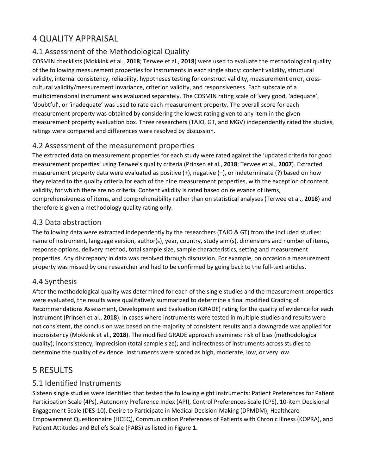# 4 QUALITY APPRAISAL

## 4.1 Assessment of the Methodological Quality

COSMIN checklists (Mokkink et al., **2018**; Terwee et al., **2018**) were used to evaluate the methodological quality of the following measurement properties for instruments in each single study: content validity, structural validity, internal consistency, reliability, hypotheses testing for construct validity, measurement error, crosscultural validity/measurement invariance, criterion validity, and responsiveness. Each subscale of a multidimensional instrument was evaluated separately. The COSMIN rating scale of 'very good, 'adequate', 'doubtful', or 'inadequate' was used to rate each measurement property. The overall score for each measurement property was obtained by considering the lowest rating given to any item in the given measurement property evaluation box. Three researchers (TAJO, GT, and MGV) independently rated the studies, ratings were compared and differences were resolved by discussion.

## 4.2 Assessment of the measurement properties

The extracted data on measurement properties for each study were rated against the 'updated criteria for good measurement properties' using Terwee's quality criteria (Prinsen et al., **2018**; Terwee et al., **2007**). Extracted measurement property data were evaluated as positive (+), negative (−), or indeterminate (?) based on how they related to the quality criteria for each of the nine measurement properties, with the exception of content validity, for which there are no criteria. Content validity is rated based on relevance of items, comprehensiveness of items, and comprehensibility rather than on statistical analyses (Terwee et al., **2018**) and therefore is given a methodology quality rating only.

### 4.3 Data abstraction

The following data were extracted independently by the researchers (TAJO & GT) from the included studies: name of instrument, language version, author(s), year, country, study aim(s), dimensions and number of items, response options, delivery method, total sample size, sample characteristics, setting and measurement properties. Any discrepancy in data was resolved through discussion. For example, on occasion a measurement property was missed by one researcher and had to be confirmed by going back to the full-text articles.

#### 4.4 Synthesis

After the methodological quality was determined for each of the single studies and the measurement properties were evaluated, the results were qualitatively summarized to determine a final modified Grading of Recommendations Assessment, Development and Evaluation (GRADE) rating for the quality of evidence for each instrument (Prinsen et al., **2018**). In cases where instruments were tested in multiple studies and results were not consistent, the conclusion was based on the majority of consistent results and a downgrade was applied for inconsistency (Mokkink et al., **2018**). The modified GRADE approach examines: risk of bias (methodological quality); inconsistency; imprecision (total sample size); and indirectness of instruments across studies to determine the quality of evidence. Instruments were scored as high, moderate, low, or very low.

# 5 RESULTS

## 5.1 Identified Instruments

Sixteen single studies were identified that tested the following eight instruments: Patient Preferences for Patient Participation Scale (4Ps), Autonomy Preference Index (API), Control Preferences Scale (CPS), 10-item Decisional Engagement Scale (DES-10), Desire to Participate in Medical Decision-Making (DPMDM), Healthcare Empowerment Questionnaire (HCEQ), Communication Preferences of Patients with Chronic Illness (KOPRA), and Patient Attitudes and Beliefs Scale (PABS) as listed in Figure **1**.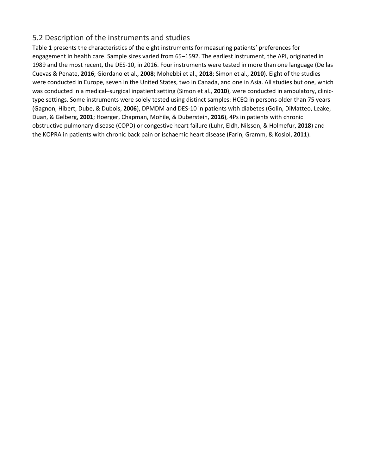#### 5.2 Description of the instruments and studies

Table **1** presents the characteristics of the eight instruments for measuring patients' preferences for engagement in health care. Sample sizes varied from 65–1592. The earliest instrument, the API, originated in 1989 and the most recent, the DES-10, in 2016. Four instruments were tested in more than one language (De las Cuevas & Penate, **2016**; Giordano et al., **2008**; Mohebbi et al., **2018**; Simon et al., **2010**). Eight of the studies were conducted in Europe, seven in the United States, two in Canada, and one in Asia. All studies but one, which was conducted in a medical–surgical inpatient setting (Simon et al., **2010**), were conducted in ambulatory, clinictype settings. Some instruments were solely tested using distinct samples: HCEQ in persons older than 75 years (Gagnon, Hibert, Dube, & Dubois, **2006**), DPMDM and DES-10 in patients with diabetes (Golin, DiMatteo, Leake, Duan, & Gelberg, **2001**; Hoerger, Chapman, Mohile, & Duberstein, **2016**), 4Ps in patients with chronic obstructive pulmonary disease (COPD) or congestive heart failure (Luhr, Eldh, Nilsson, & Holmefur, **2018**) and the KOPRA in patients with chronic back pain or ischaemic heart disease (Farin, Gramm, & Kosiol, **2011**).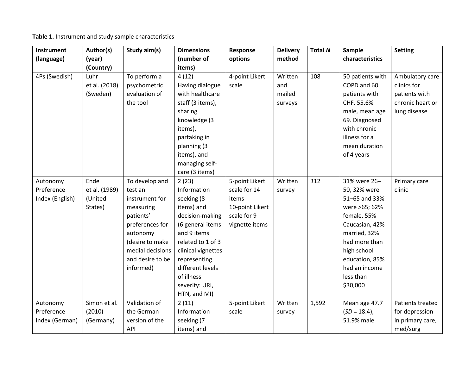**Table 1.** Instrument and study sample characteristics

| Instrument      | Author(s)     | Study aim(s)     | <b>Dimensions</b>  | Response        | <b>Delivery</b> | Total N | Sample           | <b>Setting</b>   |
|-----------------|---------------|------------------|--------------------|-----------------|-----------------|---------|------------------|------------------|
| (language)      | (year)        |                  | (number of         | options         | method          |         | characteristics  |                  |
|                 | (Country)     |                  | items)             |                 |                 |         |                  |                  |
| 4Ps (Swedish)   | Luhr          | To perform a     | 4(12)              | 4-point Likert  | Written         | 108     | 50 patients with | Ambulatory care  |
|                 | et al. (2018) | psychometric     | Having dialogue    | scale           | and             |         | COPD and 60      | clinics for      |
|                 | (Sweden)      | evaluation of    | with healthcare    |                 | mailed          |         | patients with    | patients with    |
|                 |               | the tool         | staff (3 items),   |                 | surveys         |         | CHF. 55.6%       | chronic heart or |
|                 |               |                  | sharing            |                 |                 |         | male, mean age   | lung disease     |
|                 |               |                  | knowledge (3       |                 |                 |         | 69. Diagnosed    |                  |
|                 |               |                  | items),            |                 |                 |         | with chronic     |                  |
|                 |               |                  | partaking in       |                 |                 |         | illness for a    |                  |
|                 |               |                  | planning (3        |                 |                 |         | mean duration    |                  |
|                 |               |                  | items), and        |                 |                 |         | of 4 years       |                  |
|                 |               |                  | managing self-     |                 |                 |         |                  |                  |
|                 |               |                  | care (3 items)     |                 |                 |         |                  |                  |
| Autonomy        | Ende          | To develop and   | 2(23)              | 5-point Likert  | Written         | 312     | 31% were 26-     | Primary care     |
| Preference      | et al. (1989) | test an          | Information        | scale for 14    | survey          |         | 50, 32% were     | clinic           |
| Index (English) | (United       | instrument for   | seeking (8         | items           |                 |         | 51-65 and 33%    |                  |
|                 | States)       | measuring        | items) and         | 10-point Likert |                 |         | were >65; 62%    |                  |
|                 |               | patients'        | decision-making    | scale for 9     |                 |         | female, 55%      |                  |
|                 |               | preferences for  | (6 general items   | vignette items  |                 |         | Caucasian, 42%   |                  |
|                 |               | autonomy         | and 9 items        |                 |                 |         | married, 32%     |                  |
|                 |               | (desire to make  | related to 1 of 3  |                 |                 |         | had more than    |                  |
|                 |               | medial decisions | clinical vignettes |                 |                 |         | high school      |                  |
|                 |               | and desire to be | representing       |                 |                 |         | education, 85%   |                  |
|                 |               | informed)        | different levels   |                 |                 |         | had an income    |                  |
|                 |               |                  | of illness         |                 |                 |         | less than        |                  |
|                 |               |                  | severity: URI,     |                 |                 |         | \$30,000         |                  |
|                 |               |                  | HTN, and MI)       |                 |                 |         |                  |                  |
| Autonomy        | Simon et al.  | Validation of    | 2(11)              | 5-point Likert  | Written         | 1,592   | Mean age 47.7    | Patients treated |
| Preference      | (2010)        | the German       | Information        | scale           | survey          |         | $(SD = 18.4)$ ,  | for depression   |
| Index (German)  | (Germany)     | version of the   | seeking (7         |                 |                 |         | 51.9% male       | in primary care, |
|                 |               | API              | items) and         |                 |                 |         |                  | med/surg         |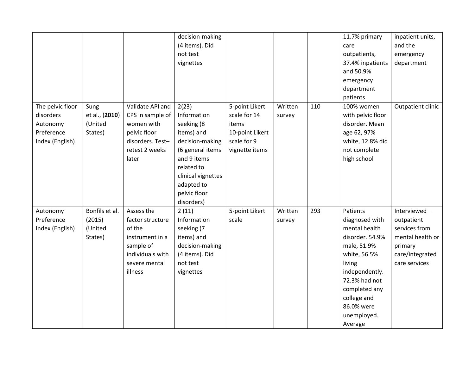|                  |                |                  | decision-making    |                 |         |     | 11.7% primary     | inpatient units,  |
|------------------|----------------|------------------|--------------------|-----------------|---------|-----|-------------------|-------------------|
|                  |                |                  | (4 items). Did     |                 |         |     | care              | and the           |
|                  |                |                  | not test           |                 |         |     | outpatients,      | emergency         |
|                  |                |                  | vignettes          |                 |         |     | 37.4% inpatients  | department        |
|                  |                |                  |                    |                 |         |     | and 50.9%         |                   |
|                  |                |                  |                    |                 |         |     | emergency         |                   |
|                  |                |                  |                    |                 |         |     | department        |                   |
|                  |                |                  |                    |                 |         |     | patients          |                   |
| The pelvic floor | Sung           | Validate API and | 2(23)              | 5-point Likert  | Written | 110 | 100% women        | Outpatient clinic |
| disorders        | et al., (2010) | CPS in sample of | Information        | scale for 14    | survey  |     | with pelvic floor |                   |
| Autonomy         | (United        | women with       | seeking (8         | items           |         |     | disorder. Mean    |                   |
| Preference       | States)        | pelvic floor     | items) and         | 10-point Likert |         |     | age 62, 97%       |                   |
| Index (English)  |                | disorders. Test- | decision-making    | scale for 9     |         |     | white, 12.8% did  |                   |
|                  |                | retest 2 weeks   | (6 general items   | vignette items  |         |     | not complete      |                   |
|                  |                | later            | and 9 items        |                 |         |     | high school       |                   |
|                  |                |                  | related to         |                 |         |     |                   |                   |
|                  |                |                  | clinical vignettes |                 |         |     |                   |                   |
|                  |                |                  | adapted to         |                 |         |     |                   |                   |
|                  |                |                  | pelvic floor       |                 |         |     |                   |                   |
|                  |                |                  | disorders)         |                 |         |     |                   |                   |
| Autonomy         | Bonfils et al. | Assess the       | 2(11)              | 5-point Likert  | Written | 293 | Patients          | Interviewed-      |
| Preference       | (2015)         | factor structure | Information        | scale           | survey  |     | diagnosed with    | outpatient        |
| Index (English)  | (United        | of the           | seeking (7         |                 |         |     | mental health     | services from     |
|                  | States)        | instrument in a  | items) and         |                 |         |     | disorder. 54.9%   | mental health or  |
|                  |                | sample of        | decision-making    |                 |         |     | male, 51.9%       | primary           |
|                  |                | individuals with | (4 items). Did     |                 |         |     | white, 56.5%      | care/integrated   |
|                  |                | severe mental    | not test           |                 |         |     | living            | care services     |
|                  |                | illness          | vignettes          |                 |         |     | independently.    |                   |
|                  |                |                  |                    |                 |         |     | 72.3% had not     |                   |
|                  |                |                  |                    |                 |         |     | completed any     |                   |
|                  |                |                  |                    |                 |         |     | college and       |                   |
|                  |                |                  |                    |                 |         |     | 86.0% were        |                   |
|                  |                |                  |                    |                 |         |     | unemployed.       |                   |
|                  |                |                  |                    |                 |         |     | Average           |                   |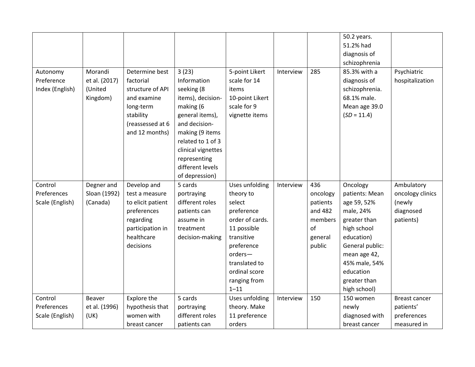|                 |               |                   |                                  |                 |           |          | 50.2 years.     |                      |
|-----------------|---------------|-------------------|----------------------------------|-----------------|-----------|----------|-----------------|----------------------|
|                 |               |                   |                                  |                 |           |          | 51.2% had       |                      |
|                 |               |                   |                                  |                 |           |          | diagnosis of    |                      |
|                 |               |                   |                                  |                 |           |          | schizophrenia   |                      |
| Autonomy        | Morandi       | Determine best    | 3(23)                            | 5-point Likert  | Interview | 285      | 85.3% with a    | Psychiatric          |
| Preference      | et al. (2017) | factorial         | Information                      | scale for 14    |           |          | diagnosis of    | hospitalization      |
| Index (English) | (United       | structure of API  | seeking (8                       | items           |           |          | schizophrenia.  |                      |
|                 | Kingdom)      | and examine       | items), decision-                | 10-point Likert |           |          | 68.1% male.     |                      |
|                 |               | long-term         | making (6                        | scale for 9     |           |          | Mean age 39.0   |                      |
|                 |               | stability         | general items),                  | vignette items  |           |          | $(SD = 11.4)$   |                      |
|                 |               | (reassessed at 6  | and decision-                    |                 |           |          |                 |                      |
|                 |               | and 12 months)    | making (9 items                  |                 |           |          |                 |                      |
|                 |               |                   | related to 1 of 3                |                 |           |          |                 |                      |
|                 |               |                   | clinical vignettes               |                 |           |          |                 |                      |
|                 |               |                   |                                  |                 |           |          |                 |                      |
|                 |               |                   | representing<br>different levels |                 |           |          |                 |                      |
|                 |               |                   |                                  |                 |           |          |                 |                      |
|                 |               |                   | of depression)                   |                 |           |          |                 |                      |
|                 |               |                   |                                  |                 |           |          |                 |                      |
| Control         | Degner and    | Develop and       | 5 cards                          | Uses unfolding  | Interview | 436      | Oncology        | Ambulatory           |
| Preferences     | Sloan (1992)  | test a measure    | portraying                       | theory to       |           | oncology | patients: Mean  | oncology clinics     |
| Scale (English) | (Canada)      | to elicit patient | different roles                  | select          |           | patients | age 59, 52%     | (newly               |
|                 |               | preferences       | patients can                     | preference      |           | and 482  | male, 24%       | diagnosed            |
|                 |               | regarding         | assume in                        | order of cards. |           | members  | greater than    | patients)            |
|                 |               | participation in  | treatment                        | 11 possible     |           | of       | high school     |                      |
|                 |               | healthcare        | decision-making                  | transitive      |           | general  | education)      |                      |
|                 |               | decisions         |                                  | preference      |           | public   | General public: |                      |
|                 |               |                   |                                  | orders-         |           |          | mean age 42,    |                      |
|                 |               |                   |                                  | translated to   |           |          | 45% male, 54%   |                      |
|                 |               |                   |                                  | ordinal score   |           |          | education       |                      |
|                 |               |                   |                                  | ranging from    |           |          | greater than    |                      |
|                 |               |                   |                                  | $1 - 11$        |           |          | high school)    |                      |
| Control         | <b>Beaver</b> | Explore the       | 5 cards                          | Uses unfolding  | Interview | 150      | 150 women       | <b>Breast cancer</b> |
| Preferences     | et al. (1996) | hypothesis that   | portraying                       | theory. Make    |           |          | newly           | patients'            |
| Scale (English) | (UK)          | women with        | different roles                  | 11 preference   |           |          | diagnosed with  | preferences          |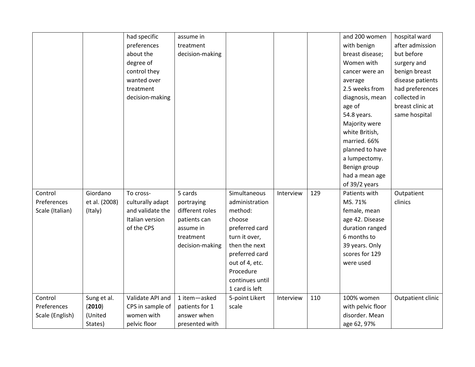|                 |               | had specific     | assume in       |                 |           |     | and 200 women     | hospital ward     |
|-----------------|---------------|------------------|-----------------|-----------------|-----------|-----|-------------------|-------------------|
|                 |               | preferences      | treatment       |                 |           |     | with benign       | after admission   |
|                 |               | about the        | decision-making |                 |           |     | breast disease;   | but before        |
|                 |               | degree of        |                 |                 |           |     | Women with        | surgery and       |
|                 |               | control they     |                 |                 |           |     | cancer were an    | benign breast     |
|                 |               | wanted over      |                 |                 |           |     | average           | disease patients  |
|                 |               | treatment        |                 |                 |           |     | 2.5 weeks from    | had preferences   |
|                 |               | decision-making  |                 |                 |           |     | diagnosis, mean   | collected in      |
|                 |               |                  |                 |                 |           |     | age of            | breast clinic at  |
|                 |               |                  |                 |                 |           |     | 54.8 years.       | same hospital     |
|                 |               |                  |                 |                 |           |     | Majority were     |                   |
|                 |               |                  |                 |                 |           |     | white British,    |                   |
|                 |               |                  |                 |                 |           |     | married. 66%      |                   |
|                 |               |                  |                 |                 |           |     | planned to have   |                   |
|                 |               |                  |                 |                 |           |     | a lumpectomy.     |                   |
|                 |               |                  |                 |                 |           |     | Benign group      |                   |
|                 |               |                  |                 |                 |           |     | had a mean age    |                   |
|                 |               |                  |                 |                 |           |     | of 39/2 years     |                   |
| Control         | Giordano      | To cross-        | 5 cards         | Simultaneous    | Interview | 129 | Patients with     | Outpatient        |
| Preferences     | et al. (2008) | culturally adapt | portraying      | administration  |           |     | MS. 71%           | clinics           |
| Scale (Italian) | (Italy)       | and validate the | different roles | method:         |           |     | female, mean      |                   |
|                 |               | Italian version  | patients can    | choose          |           |     | age 42. Disease   |                   |
|                 |               | of the CPS       | assume in       | preferred card  |           |     | duration ranged   |                   |
|                 |               |                  | treatment       | turn it over,   |           |     | 6 months to       |                   |
|                 |               |                  | decision-making | then the next   |           |     | 39 years. Only    |                   |
|                 |               |                  |                 | preferred card  |           |     | scores for 129    |                   |
|                 |               |                  |                 | out of 4, etc.  |           |     | were used         |                   |
|                 |               |                  |                 | Procedure       |           |     |                   |                   |
|                 |               |                  |                 | continues until |           |     |                   |                   |
|                 |               |                  |                 | 1 card is left  |           |     |                   |                   |
| Control         | Sung et al.   | Validate API and | 1 item-asked    | 5-point Likert  | Interview | 110 | 100% women        | Outpatient clinic |
| Preferences     | (2010)        | CPS in sample of | patients for 1  | scale           |           |     | with pelvic floor |                   |
| Scale (English) | (United       | women with       | answer when     |                 |           |     | disorder. Mean    |                   |
|                 | States)       | pelvic floor     | presented with  |                 |           |     | age 62, 97%       |                   |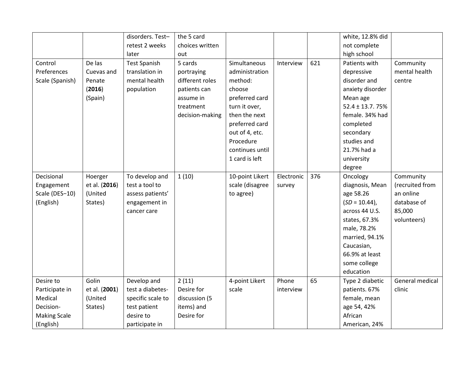|                     |               | disorders. Test-    | the 5 card      |                 |            |     | white, 12.8% did     |                 |
|---------------------|---------------|---------------------|-----------------|-----------------|------------|-----|----------------------|-----------------|
|                     |               | retest 2 weeks      | choices written |                 |            |     | not complete         |                 |
|                     |               | later               | out             |                 |            |     | high school          |                 |
| Control             | De las        | <b>Test Spanish</b> | 5 cards         | Simultaneous    | Interview  | 621 | Patients with        | Community       |
| Preferences         | Cuevas and    | translation in      | portraying      | administration  |            |     | depressive           | mental health   |
| Scale (Spanish)     | Penate        | mental health       | different roles | method:         |            |     | disorder and         | centre          |
|                     | (2016)        | population          | patients can    | choose          |            |     | anxiety disorder     |                 |
|                     | (Spain)       |                     | assume in       | preferred card  |            |     | Mean age             |                 |
|                     |               |                     | treatment       | turn it over,   |            |     | $52.4 \pm 13.7.75\%$ |                 |
|                     |               |                     | decision-making | then the next   |            |     | female. 34% had      |                 |
|                     |               |                     |                 | preferred card  |            |     | completed            |                 |
|                     |               |                     |                 | out of 4, etc.  |            |     | secondary            |                 |
|                     |               |                     |                 | Procedure       |            |     | studies and          |                 |
|                     |               |                     |                 | continues until |            |     | 21.7% had a          |                 |
|                     |               |                     |                 | 1 card is left  |            |     | university           |                 |
|                     |               |                     |                 |                 |            |     | degree               |                 |
| Decisional          | Hoerger       | To develop and      | 1(10)           | 10-point Likert | Electronic | 376 | Oncology             | Community       |
| Engagement          | et al. (2016) | test a tool to      |                 | scale (disagree | survey     |     | diagnosis, Mean      | (recruited from |
| Scale (DES-10)      | (United       | assess patients'    |                 | to agree)       |            |     | age 58.26            | an online       |
| (English)           | States)       | engagement in       |                 |                 |            |     | $(SD = 10.44)$ ,     | database of     |
|                     |               | cancer care         |                 |                 |            |     | across 44 U.S.       | 85,000          |
|                     |               |                     |                 |                 |            |     | states, 67.3%        | volunteers)     |
|                     |               |                     |                 |                 |            |     | male, 78.2%          |                 |
|                     |               |                     |                 |                 |            |     | married, 94.1%       |                 |
|                     |               |                     |                 |                 |            |     | Caucasian,           |                 |
|                     |               |                     |                 |                 |            |     | 66.9% at least       |                 |
|                     |               |                     |                 |                 |            |     | some college         |                 |
|                     |               |                     |                 |                 |            |     | education            |                 |
| Desire to           | Golin         | Develop and         | 2(11)           | 4-point Likert  | Phone      | 65  | Type 2 diabetic      | General medical |
| Participate in      | et al. (2001) | test a diabetes-    | Desire for      | scale           | interview  |     | patients. 67%        | clinic          |
| Medical             | (United       | specific scale to   | discussion (5   |                 |            |     | female, mean         |                 |
| Decision-           | States)       | test patient        | items) and      |                 |            |     | age 54, 42%          |                 |
| <b>Making Scale</b> |               | desire to           | Desire for      |                 |            |     | African              |                 |
| (English)           |               | participate in      |                 |                 |            |     | American, 24%        |                 |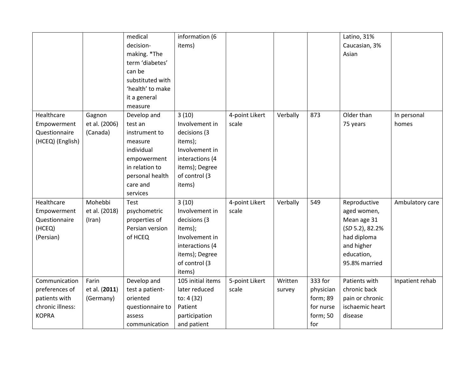|                                   |                               | medical<br>decision-<br>making. *The<br>term 'diabetes'<br>can be<br>substituted with<br>'health' to make<br>it a general<br>measure | information (6<br>items)                                                                                  |                         |          |           | Latino, 31%<br>Caucasian, 3%<br>Asian |                      |
|-----------------------------------|-------------------------------|--------------------------------------------------------------------------------------------------------------------------------------|-----------------------------------------------------------------------------------------------------------|-------------------------|----------|-----------|---------------------------------------|----------------------|
| Healthcare<br>Empowerment         | Gagnon<br>et al. (2006)       | Develop and<br>test an                                                                                                               | 3(10)<br>Involvement in                                                                                   | 4-point Likert<br>scale | Verbally | 873       | Older than<br>75 years                | In personal<br>homes |
| Questionnaire<br>(HCEQ) (English) | (Canada)                      | instrument to<br>measure<br>individual<br>empowerment<br>in relation to<br>personal health<br>care and<br>services                   | decisions (3<br>items);<br>Involvement in<br>interactions (4<br>items); Degree<br>of control (3<br>items) |                         |          |           |                                       |                      |
| Healthcare                        | Mohebbi                       | Test                                                                                                                                 | 3(10)                                                                                                     | 4-point Likert          | Verbally | 549       | Reproductive                          | Ambulatory care      |
| Empowerment<br>Questionnaire      | et al. (2018)<br>$($ Iran $)$ | psychometric<br>properties of                                                                                                        | Involvement in<br>decisions (3                                                                            | scale                   |          |           | aged women,<br>Mean age 31            |                      |
| (HCEQ)                            |                               | Persian version                                                                                                                      | items);                                                                                                   |                         |          |           | $(SD 5.2)$ , 82.2%                    |                      |
| (Persian)                         |                               | of HCEQ                                                                                                                              | Involvement in                                                                                            |                         |          |           | had diploma                           |                      |
|                                   |                               |                                                                                                                                      | interactions (4                                                                                           |                         |          |           | and higher                            |                      |
|                                   |                               |                                                                                                                                      | items); Degree<br>of control (3                                                                           |                         |          |           | education,<br>95.8% married           |                      |
|                                   |                               |                                                                                                                                      | items)                                                                                                    |                         |          |           |                                       |                      |
| Communication                     | Farin                         | Develop and                                                                                                                          | 105 initial items                                                                                         | 5-point Likert          | Written  | 333 for   | Patients with                         | Inpatient rehab      |
| preferences of                    | et al. (2011)                 | test a patient-                                                                                                                      | later reduced                                                                                             | scale                   | survey   | physician | chronic back                          |                      |
| patients with                     | (Germany)                     | oriented                                                                                                                             | to: 4 (32)                                                                                                |                         |          | form; 89  | pain or chronic                       |                      |
| chronic illness:                  |                               | questionnaire to                                                                                                                     | Patient                                                                                                   |                         |          | for nurse | ischaemic heart                       |                      |
| <b>KOPRA</b>                      |                               | assess                                                                                                                               | participation                                                                                             |                         |          | form; 50  | disease                               |                      |
|                                   |                               | communication                                                                                                                        | and patient                                                                                               |                         |          | for       |                                       |                      |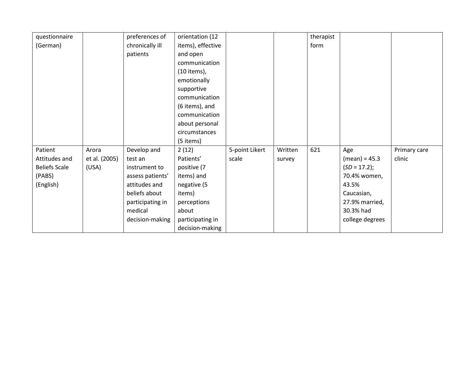| questionnaire        |               | preferences of   | orientation (12   |                |         | therapist |                 |              |
|----------------------|---------------|------------------|-------------------|----------------|---------|-----------|-----------------|--------------|
| (German)             |               | chronically ill  | items), effective |                |         | form      |                 |              |
|                      |               | patients         | and open          |                |         |           |                 |              |
|                      |               |                  | communication     |                |         |           |                 |              |
|                      |               |                  | (10 items),       |                |         |           |                 |              |
|                      |               |                  | emotionally       |                |         |           |                 |              |
|                      |               |                  | supportive        |                |         |           |                 |              |
|                      |               |                  | communication     |                |         |           |                 |              |
|                      |               |                  | (6 items), and    |                |         |           |                 |              |
|                      |               |                  | communication     |                |         |           |                 |              |
|                      |               |                  | about personal    |                |         |           |                 |              |
|                      |               |                  | circumstances     |                |         |           |                 |              |
|                      |               |                  | (5 items)         |                |         |           |                 |              |
| Patient              | Arora         | Develop and      | 2(12)             | 5-point Likert | Written | 621       | Age             | Primary care |
| Attitudes and        | et al. (2005) | test an          | Patients'         | scale          | survey  |           | $(mean) = 45.3$ | clinic       |
| <b>Beliefs Scale</b> | (USA)         | instrument to    | positive (7       |                |         |           | $(SD = 17.2);$  |              |
| (PABS)               |               | assess patients' | items) and        |                |         |           | 70.4% women,    |              |
| (English)            |               | attitudes and    | negative (5       |                |         |           | 43.5%           |              |
|                      |               | beliefs about    | items)            |                |         |           | Caucasian,      |              |
|                      |               | participating in | perceptions       |                |         |           | 27.9% married,  |              |
|                      |               | medical          | about             |                |         |           | 30.3% had       |              |
|                      |               | decision-making  | participating in  |                |         |           | college degrees |              |
|                      |               |                  | decision-making   |                |         |           |                 |              |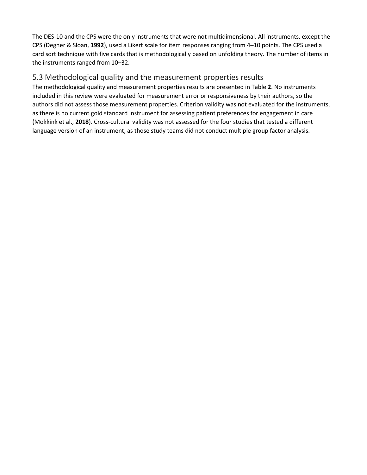The DES-10 and the CPS were the only instruments that were not multidimensional. All instruments, except the CPS (Degner & Sloan, **1992**), used a Likert scale for item responses ranging from 4–10 points. The CPS used a card sort technique with five cards that is methodologically based on unfolding theory. The number of items in the instruments ranged from 10–32.

#### 5.3 Methodological quality and the measurement properties results

The methodological quality and measurement properties results are presented in Table **2**. No instruments included in this review were evaluated for measurement error or responsiveness by their authors, so the authors did not assess those measurement properties. Criterion validity was not evaluated for the instruments, as there is no current gold standard instrument for assessing patient preferences for engagement in care (Mokkink et al., **2018**). Cross-cultural validity was not assessed for the four studies that tested a different language version of an instrument, as those study teams did not conduct multiple group factor analysis.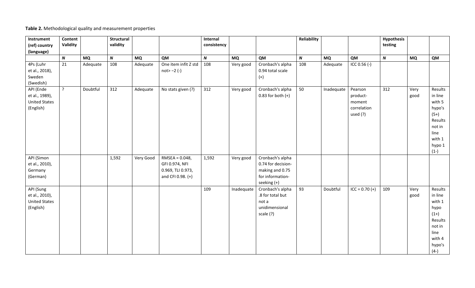#### **Table 2.** Methodological quality and measurement properties

| Instrument<br>(ref) country<br>(language)                        | Content<br>Validity |           | Structural<br>validity |           |                                                                               | Internal<br>consistency |            |                                                                                              | Reliability      |            |                                                          | <b>Hypothesis</b><br>testing |              |                                                                                                             |
|------------------------------------------------------------------|---------------------|-----------|------------------------|-----------|-------------------------------------------------------------------------------|-------------------------|------------|----------------------------------------------------------------------------------------------|------------------|------------|----------------------------------------------------------|------------------------------|--------------|-------------------------------------------------------------------------------------------------------------|
|                                                                  | $\boldsymbol{N}$    | <b>MQ</b> | $\boldsymbol{N}$       | <b>MQ</b> | QM                                                                            | $\boldsymbol{N}$        | <b>MQ</b>  | QM                                                                                           | $\boldsymbol{N}$ | <b>MQ</b>  | QM                                                       | $\pmb N$                     | <b>MQ</b>    | QM                                                                                                          |
| 4Ps (Luhr<br>et al., 2018),<br>Sweden<br>(Swedish)               | 21                  | Adequate  | 108                    | Adequate  | One item infit Z std<br>$not > -2$ (-)                                        | 108                     | Very good  | Cronbach's alpha<br>0.94 total scale<br>$(+)$                                                | 108              | Adequate   | $ICC 0.56 (-)$                                           |                              |              |                                                                                                             |
| API (Ende<br>et al., 1989),<br><b>United States</b><br>(English) | $\overline{?}$      | Doubtful  | 312                    | Adequate  | No stats given (?)                                                            | 312                     | Very good  | Cronbach's alpha<br>$0.83$ for both $(+)$                                                    | 50               | Inadequate | Pearson<br>product-<br>moment<br>correlation<br>used (?) | 312                          | Very<br>good | Results<br>in line<br>with 5<br>hypo's<br>$(5+)$<br>Results<br>not in<br>line<br>with 1<br>hypo 1<br>$(1-)$ |
| API (Simon<br>et al., 2010),<br>Germany<br>(German)              |                     |           | 1,592                  | Very Good | $RMSEA = 0.048$ ,<br>GFI 0.974, NFI<br>0.969, TLI 0.973,<br>and CFI 0.98. (+) | 1,592                   | Very good  | Cronbach's alpha<br>0.74 for decision-<br>making and 0.75<br>for information-<br>seeking (+) |                  |            |                                                          |                              |              |                                                                                                             |
| API (Sung<br>et al., 2010),<br><b>United States</b><br>(English) |                     |           |                        |           |                                                                               | 109                     | Inadequate | Cronbach's alpha<br>.8 for total but<br>not a<br>unidimensional<br>scale (?)                 | 93               | Doubtful   | $ICC = 0.70 (+)$                                         | 109                          | Very<br>good | Results<br>in line<br>with 1<br>hypo<br>$(1+)$<br>Results<br>not in<br>line<br>with 4<br>hypo's<br>$(4-)$   |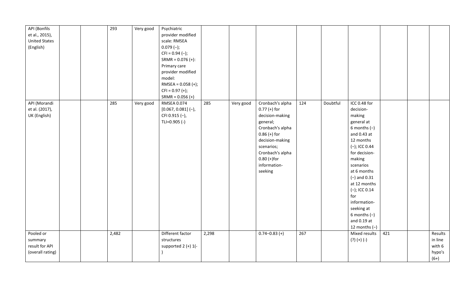| API (Bonfils<br>et al., 2015),<br><b>United States</b><br>(English) |  | 293   | Very good | Psychiatric<br>provider modified<br>scale: RMSEA<br>$0.079(-);$<br>$CFI = 0.94 (-);$<br>$SRMR = 0.076 (+):$<br>Primary care<br>provider modified<br>model:<br>RMSEA = $0.058$ (+);<br>$CFI = 0.97 (+);$ |       |           |                                                                                                                                                                                                           |     |          |                                                                                                                                                                                                                                                                                                                                            |     |                                                  |
|---------------------------------------------------------------------|--|-------|-----------|---------------------------------------------------------------------------------------------------------------------------------------------------------------------------------------------------------|-------|-----------|-----------------------------------------------------------------------------------------------------------------------------------------------------------------------------------------------------------|-----|----------|--------------------------------------------------------------------------------------------------------------------------------------------------------------------------------------------------------------------------------------------------------------------------------------------------------------------------------------------|-----|--------------------------------------------------|
| API (Morandi<br>et al. (2017),<br>UK (English)                      |  | 285   | Very good | $SRMR = 0.056 (+)$<br><b>RMSEA 0.074</b><br>$[0.067, 0.081]$ (-),<br>CFI 0.915 (-),<br>TLI=0.905 (-)                                                                                                    | 285   | Very good | Cronbach's alpha<br>$0.77 (+)$ for<br>decision-making<br>general;<br>Cronbach's alpha<br>$0.86 (+)$ for<br>decision-making<br>scenarios;<br>Cronbach's alpha<br>$0.80 (+)$ for<br>information-<br>seeking | 124 | Doubtful | $\overline{ICC}$ 0.48 for<br>decision-<br>making<br>general at<br>$6$ months $(-)$<br>and 0.43 at<br>12 months<br>$(-)$ ; ICC 0.44<br>for decision-<br>making<br>scenarios<br>at 6 months<br>$(-)$ and 0.31<br>at 12 months<br>$(-)$ ; ICC 0.14<br>for<br>information-<br>seeking at<br>$6$ months $(-)$<br>and 0.19 at<br>12 months $(-)$ |     |                                                  |
| Pooled or<br>summary<br>result for API<br>(overall rating)          |  | 2,482 |           | Different factor<br>structures<br>supported $2 (+) 1(-$                                                                                                                                                 | 2,298 |           | $0.74 - 0.83$ (+)                                                                                                                                                                                         | 267 |          | Mixed results<br>$(?) (+) (-)$                                                                                                                                                                                                                                                                                                             | 421 | Results<br>in line<br>with 6<br>hypo's<br>$(6+)$ |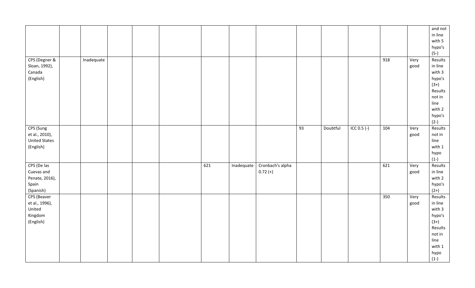|                      |            |  |     |            |                  |    |          |               |     |      | and not  |
|----------------------|------------|--|-----|------------|------------------|----|----------|---------------|-----|------|----------|
|                      |            |  |     |            |                  |    |          |               |     |      | in line  |
|                      |            |  |     |            |                  |    |          |               |     |      | with 5   |
|                      |            |  |     |            |                  |    |          |               |     |      | hypo's   |
|                      |            |  |     |            |                  |    |          |               |     |      | $(5-)$   |
| CPS (Degner &        | Inadequate |  |     |            |                  |    |          |               | 918 | Very | Results  |
| Sloan, 1992),        |            |  |     |            |                  |    |          |               |     | good | in line  |
| Canada               |            |  |     |            |                  |    |          |               |     |      | with 3   |
| (English)            |            |  |     |            |                  |    |          |               |     |      | hypo's   |
|                      |            |  |     |            |                  |    |          |               |     |      | $(3+)$   |
|                      |            |  |     |            |                  |    |          |               |     |      | Results  |
|                      |            |  |     |            |                  |    |          |               |     |      | not in   |
|                      |            |  |     |            |                  |    |          |               |     |      | line     |
|                      |            |  |     |            |                  |    |          |               |     |      | with 2   |
|                      |            |  |     |            |                  |    |          |               |     |      | hypo's   |
|                      |            |  |     |            |                  |    |          |               |     |      | $(2-)$   |
| CPS (Sung            |            |  |     |            |                  | 93 | Doubtful | ICC $0.5$ (-) | 104 | Very | Results  |
| et al., 2010),       |            |  |     |            |                  |    |          |               |     | good | not in   |
| <b>United States</b> |            |  |     |            |                  |    |          |               |     |      | line     |
| (English)            |            |  |     |            |                  |    |          |               |     |      | with $1$ |
|                      |            |  |     |            |                  |    |          |               |     |      | hypo     |
|                      |            |  |     |            |                  |    |          |               |     |      | $(1-)$   |
| CPS (De las          |            |  | 621 | Inadequate | Cronbach's alpha |    |          |               | 621 | Very | Results  |
| Cuevas and           |            |  |     |            | $0.72 (+)$       |    |          |               |     | good | in line  |
| Penate, 2016),       |            |  |     |            |                  |    |          |               |     |      | with 2   |
| Spain                |            |  |     |            |                  |    |          |               |     |      | hypo's   |
| (Spanish)            |            |  |     |            |                  |    |          |               |     |      | $(2+)$   |
| CPS (Beaver          |            |  |     |            |                  |    |          |               | 350 | Very | Results  |
| et al., 1996),       |            |  |     |            |                  |    |          |               |     | good | in line  |
| United               |            |  |     |            |                  |    |          |               |     |      | with 3   |
| Kingdom              |            |  |     |            |                  |    |          |               |     |      | hypo's   |
| (English)            |            |  |     |            |                  |    |          |               |     |      | $(3+)$   |
|                      |            |  |     |            |                  |    |          |               |     |      | Results  |
|                      |            |  |     |            |                  |    |          |               |     |      | not in   |
|                      |            |  |     |            |                  |    |          |               |     |      | line     |
|                      |            |  |     |            |                  |    |          |               |     |      | with 1   |
|                      |            |  |     |            |                  |    |          |               |     |      | hypo     |
|                      |            |  |     |            |                  |    |          |               |     |      | $(1-)$   |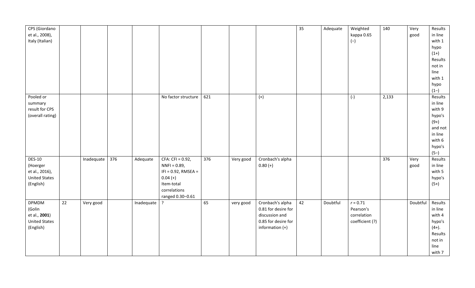| CPS (Giordano<br>et al., 2008),<br>Italy (Italian)                               |    |            |     |            |                                                                                                                                 |     |           |                                                                                                     | 35 | Adequate | Weighted<br>kappa 0.65<br>$(-)$                           | 140   | Very<br>good | Results<br>in line<br>with 1<br>hypo<br>$(1+)$<br>Results<br>not in<br>line<br>with 1<br>hypo<br>$(1-)$ |
|----------------------------------------------------------------------------------|----|------------|-----|------------|---------------------------------------------------------------------------------------------------------------------------------|-----|-----------|-----------------------------------------------------------------------------------------------------|----|----------|-----------------------------------------------------------|-------|--------------|---------------------------------------------------------------------------------------------------------|
| Pooled or<br>summary<br>result for CPS<br>(overall rating)                       |    |            |     |            | No factor structure                                                                                                             | 621 |           | $(+)$                                                                                               |    |          | $(-)$                                                     | 2,133 |              | Results<br>in line<br>with 9<br>hypo's<br>$(9+)$<br>and not<br>in line<br>with 6<br>hypo's<br>$(5-)$    |
| <b>DES-10</b><br>(Hoerger<br>et al., 2016),<br><b>United States</b><br>(English) |    | Inadequate | 376 | Adequate   | $CFA: CFI = 0.92,$<br>$NNFI = 0.89$ ,<br>$IFI = 0.92$ , RMSEA =<br>$0.04 (+)$<br>Item-total<br>correlations<br>ranged 0.30-0.61 | 376 | Very good | Cronbach's alpha<br>$0.80 (+)$                                                                      |    |          |                                                           | 376   | Very<br>good | Results<br>in line<br>with 5<br>hypo's<br>$(5+)$                                                        |
| <b>DPMDM</b><br>(Golin<br>et al., 2001)<br><b>United States</b><br>(English)     | 22 | Very good  |     | Inadequate | $\cdot$                                                                                                                         | 65  | very good | Cronbach's alpha<br>0.81 for desire for<br>discussion and<br>0.85 for desire for<br>information (+) | 42 | Doubtful | $r = 0.71$<br>Pearson's<br>correlation<br>coefficient (?) |       | Doubtful     | Results<br>in line<br>with 4<br>hypo's<br>$(4+)$ .<br>Results<br>not in<br>line<br>with 7               |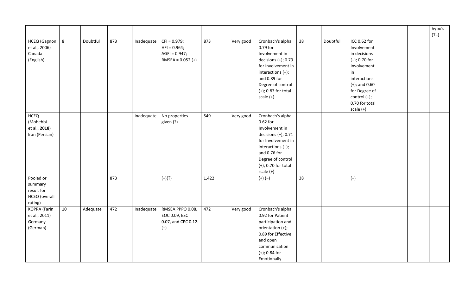|                      |    |          |     |            |                     |       |           |                        |    |          |                  |  | hypo's |
|----------------------|----|----------|-----|------------|---------------------|-------|-----------|------------------------|----|----------|------------------|--|--------|
|                      |    |          |     |            |                     |       |           |                        |    |          |                  |  | $(7-)$ |
| HCEQ (Gagnon         | 8  | Doubtful | 873 | Inadequate | $CFI = 0.979;$      | 873   | Very good | Cronbach's alpha       | 38 | Doubtful | ICC 0.62 for     |  |        |
| et al., 2006)        |    |          |     |            | $HFI = 0.964;$      |       |           | 0.79 for               |    |          | Involvement      |  |        |
| Canada               |    |          |     |            | $AGFI = 0.947;$     |       |           | Involvement in         |    |          | in decisions     |  |        |
| (English)            |    |          |     |            | RMSEA = $0.052 (+)$ |       |           | decisions (+); 0.79    |    |          | $(-)$ ; 0.70 for |  |        |
|                      |    |          |     |            |                     |       |           | for Involvement in     |    |          | Involvement      |  |        |
|                      |    |          |     |            |                     |       |           | interactions (+);      |    |          | in               |  |        |
|                      |    |          |     |            |                     |       |           | and 0.89 for           |    |          | interactions     |  |        |
|                      |    |          |     |            |                     |       |           | Degree of control      |    |          | $(+)$ ; and 0.60 |  |        |
|                      |    |          |     |            |                     |       |           | $(+)$ ; 0.83 for total |    |          | for Degree of    |  |        |
|                      |    |          |     |            |                     |       |           | scale $(+)$            |    |          | control (+);     |  |        |
|                      |    |          |     |            |                     |       |           |                        |    |          | 0.70 for total   |  |        |
|                      |    |          |     |            |                     |       |           |                        |    |          | scale (+)        |  |        |
| <b>HCEQ</b>          |    |          |     | Inadequate | No properties       | 549   | Very good | Cronbach's alpha       |    |          |                  |  |        |
| (Mohebbi             |    |          |     |            | given (?)           |       |           | $0.62$ for             |    |          |                  |  |        |
| et al., 2018)        |    |          |     |            |                     |       |           | Involvement in         |    |          |                  |  |        |
| Iran (Persian)       |    |          |     |            |                     |       |           | decisions $(-)$ ; 0.71 |    |          |                  |  |        |
|                      |    |          |     |            |                     |       |           | for Involvement in     |    |          |                  |  |        |
|                      |    |          |     |            |                     |       |           | interactions (+);      |    |          |                  |  |        |
|                      |    |          |     |            |                     |       |           | and 0.76 for           |    |          |                  |  |        |
|                      |    |          |     |            |                     |       |           | Degree of control      |    |          |                  |  |        |
|                      |    |          |     |            |                     |       |           | (+); 0.70 for total    |    |          |                  |  |        |
|                      |    |          |     |            |                     |       |           | scale $(+)$            |    |          |                  |  |        |
| Pooled or            |    |          | 873 |            | $(+)(?)$            | 1,422 |           | $(+)$ $(-)$            | 38 |          | $(-)$            |  |        |
| summary              |    |          |     |            |                     |       |           |                        |    |          |                  |  |        |
| result for           |    |          |     |            |                     |       |           |                        |    |          |                  |  |        |
| <b>HCEQ</b> (overall |    |          |     |            |                     |       |           |                        |    |          |                  |  |        |
| rating)              |    |          |     |            |                     |       |           |                        |    |          |                  |  |        |
| <b>KOPRA</b> (Farin  | 10 | Adequate | 472 | Inadequate | RMSEA PPPO 0.08,    | 472   | Very good | Cronbach's alpha       |    |          |                  |  |        |
| et al., 2011)        |    |          |     |            | EOC 0.09, ESC       |       |           | 0.92 for Patient       |    |          |                  |  |        |
| Germany              |    |          |     |            | 0.07, and CPC 0.12. |       |           | participation and      |    |          |                  |  |        |
| (German)             |    |          |     |            | $(-)$               |       |           | orientation (+);       |    |          |                  |  |        |
|                      |    |          |     |            |                     |       |           | 0.89 for Effective     |    |          |                  |  |        |
|                      |    |          |     |            |                     |       |           | and open               |    |          |                  |  |        |
|                      |    |          |     |            |                     |       |           | communication          |    |          |                  |  |        |
|                      |    |          |     |            |                     |       |           | $(+)$ ; 0.84 for       |    |          |                  |  |        |
|                      |    |          |     |            |                     |       |           | Emotionally            |    |          |                  |  |        |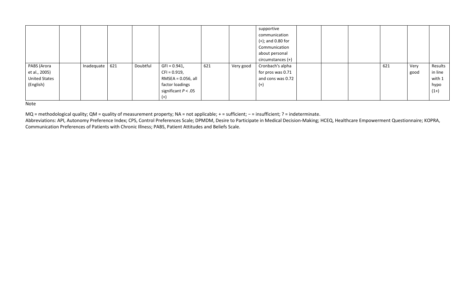|                      |                  |          |                       |     |           | supportive<br>communication<br>(+); and 0.80 for<br>Communication<br>about personal |  |     |      |         |
|----------------------|------------------|----------|-----------------------|-----|-----------|-------------------------------------------------------------------------------------|--|-----|------|---------|
|                      |                  |          |                       |     |           | circumstances (+)                                                                   |  |     |      |         |
| PABS (Arora          | Inadequate $621$ | Doubtful | $GFI = 0.941,$        | 621 | Very good | Cronbach's alpha                                                                    |  | 621 | Very | Results |
| et al., 2005)        |                  |          | $CFI = 0.919,$        |     |           | for pros was 0.71                                                                   |  |     | good | in line |
| <b>United States</b> |                  |          | RMSEA = 0.056, all    |     |           | and cons was 0.72                                                                   |  |     |      | with 1  |
| (English)            |                  |          | factor loadings       |     |           | $^{(+)}$                                                                            |  |     |      | hypo    |
|                      |                  |          | significant $P < .05$ |     |           |                                                                                     |  |     |      | $(1+)$  |
|                      |                  |          |                       |     |           |                                                                                     |  |     |      |         |

Note

MQ = methodological quality; QM = quality of measurement property; NA = not applicable; + = sufficient; - = insufficient; ? = indeterminate.

Abbreviations: API, Autonomy Preference Index; CPS, Control Preferences Scale; DPMDM, Desire to Participate in Medical Decision-Making; HCEQ, Healthcare Empowerment Questionnaire; KOPRA, Communication Preferences of Patients with Chronic Illness; PABS, Patient Attitudes and Beliefs Scale.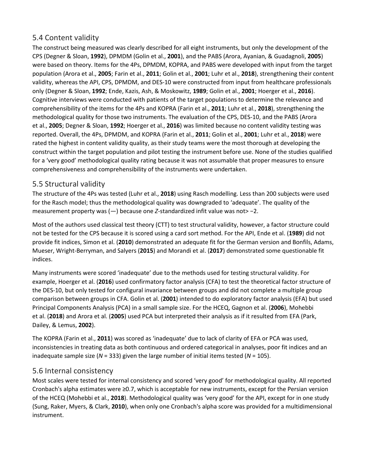## 5.4 Content validity

The construct being measured was clearly described for all eight instruments, but only the development of the CPS (Degner & Sloan, **1992**), DPMDM (Golin et al., **2001**), and the PABS (Arora, Ayanian, & Guadagnoli, **2005**) were based on theory. Items for the 4Ps, DPMDM, KOPRA, and PABS were developed with input from the target population (Arora et al., **2005**; Farin et al., **2011**; Golin et al., **2001**; Luhr et al., **2018**), strengthening their content validity, whereas the API, CPS, DPMDM, and DES-10 were constructed from input from healthcare professionals only (Degner & Sloan, **1992**; Ende, Kazis, Ash, & Moskowitz, **1989**; Golin et al., **2001**; Hoerger et al., **2016**). Cognitive interviews were conducted with patients of the target populations to determine the relevance and comprehensibility of the items for the 4Ps and KOPRA (Farin et al., **2011**; Luhr et al., **2018**), strengthening the methodological quality for those two instruments. The evaluation of the CPS, DES-10, and the PABS (Arora et al., **2005**; Degner & Sloan, **1992**; Hoerger et al., **2016**) was limited because no content validity testing was reported. Overall, the 4Ps, DPMDM, and KOPRA (Farin et al., **2011**; Golin et al., **2001**; Luhr et al., **2018**) were rated the highest in content validity quality, as their study teams were the most thorough at developing the construct within the target population and pilot testing the instrument before use. None of the studies qualified for a 'very good' methodological quality rating because it was not assumable that proper measures to ensure comprehensiveness and comprehensibility of the instruments were undertaken.

#### 5.5 Structural validity

The structure of the 4Ps was tested (Luhr et al., **2018**) using Rasch modelling. Less than 200 subjects were used for the Rasch model; thus the methodological quality was downgraded to 'adequate'. The quality of the measurement property was (—) because one *Z*‐standardized infit value was not> −2.

Most of the authors used classical test theory (CTT) to test structural validity, however, a factor structure could not be tested for the CPS because it is scored using a card sort method. For the API, Ende et al. (**1989**) did not provide fit indices, Simon et al. (**2010**) demonstrated an adequate fit for the German version and Bonfils, Adams, Mueser, Wright-Berryman, and Salyers (**2015**) and Morandi et al. (**2017**) demonstrated some questionable fit indices.

Many instruments were scored 'inadequate' due to the methods used for testing structural validity. For example, Hoerger et al. (**2016**) used confirmatory factor analysis (CFA) to test the theoretical factor structure of the DES-10, but only tested for configural invariance between groups and did not complete a multiple group comparison between groups in CFA. Golin et al. (**2001**) intended to do exploratory factor analysis (EFA) but used Principal Components Analysis (PCA) in a small sample size. For the HCEQ, Gagnon et al. (**2006**), Mohebbi et al. (**2018**) and Arora et al. (**2005**) used PCA but interpreted their analysis as if it resulted from EFA (Park, Dailey, & Lemus, **2002**).

The KOPRA (Farin et al., **2011**) was scored as 'inadequate' due to lack of clarity of EFA or PCA was used, inconsistencies in treating data as both continuous and ordered categorical in analyses, poor fit indices and an inadequate sample size (*N* = 333) given the large number of initial items tested (*N* = 105).

## 5.6 Internal consistency

Most scales were tested for internal consistency and scored 'very good' for methodological quality. All reported Cronbach's alpha estimates were ≥0.7, which is acceptable for new instruments, except for the Persian version of the HCEQ (Mohebbi et al., **2018**). Methodological quality was 'very good' for the API, except for in one study (Sung, Raker, Myers, & Clark, **2010**), when only one Cronbach's alpha score was provided for a multidimensional instrument.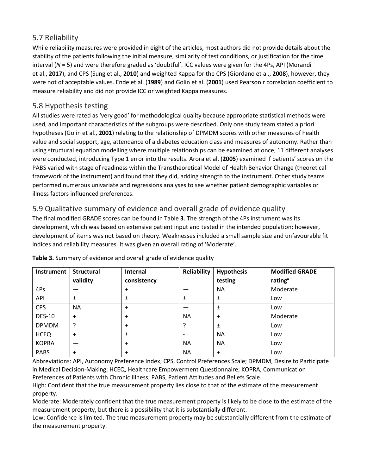## 5.7 Reliability

While reliability measures were provided in eight of the articles, most authors did not provide details about the stability of the patients following the initial measure, similarity of test conditions, or justification for the time interval (*N* = 5) and were therefore graded as 'doubtful'. ICC values were given for the 4Ps, API (Morandi et al., **2017**), and CPS (Sung et al., **2010**) and weighted Kappa for the CPS (Giordano et al., **2008**), however, they were not of acceptable values. Ende et al. (**1989**) and Golin et al. (**2001**) used Pearson r correlation coefficient to measure reliability and did not provide ICC or weighted Kappa measures.

## 5.8 Hypothesis testing

All studies were rated as 'very good' for methodological quality because appropriate statistical methods were used, and important characteristics of the subgroups were described. Only one study team stated a priori hypotheses (Golin et al., **2001**) relating to the relationship of DPMDM scores with other measures of health value and social support, age, attendance of a diabetes education class and measures of autonomy. Rather than using structural equation modelling where multiple relationships can be examined at once, 11 different analyses were conducted, introducing Type 1 error into the results. Arora et al. (**2005**) examined if patients' scores on the PABS varied with stage of readiness within the Transtheoretical Model of Health Behavior Change (theoretical framework of the instrument) and found that they did, adding strength to the instrument. Other study teams performed numerous univariate and regressions analyses to see whether patient demographic variables or illness factors influenced preferences.

## 5.9 Qualitative summary of evidence and overall grade of evidence quality

The final modified GRADE scores can be found in Table **3**. The strength of the 4Ps instrument was its development, which was based on extensive patient input and tested in the intended population; however, development of items was not based on theory. Weaknesses included a small sample size and unfavourable fit indices and reliability measures. It was given an overall rating of 'Moderate'.

| Instrument    | <b>Structural</b> | Internal    | <b>Reliability</b> | <b>Hypothesis</b> | <b>Modified GRADE</b> |
|---------------|-------------------|-------------|--------------------|-------------------|-----------------------|
|               | validity          | consistency |                    | testing           | rating <sup>a</sup>   |
| 4Ps           |                   | $\ddot{}$   |                    | <b>NA</b>         | Moderate              |
| API           | 土                 | Ŧ           | 土                  | 土                 | Low                   |
| <b>CPS</b>    | <b>NA</b>         | $\ddot{}$   |                    | 土                 | Low                   |
| <b>DES-10</b> | $\ddot{}$         | $\ddot{}$   | <b>NA</b>          | $\ddot{}$         | Moderate              |
| <b>DPMDM</b>  | ς                 | $\ddot{}$   |                    | 土                 | Low                   |
| <b>HCEQ</b>   | $\ddot{}$         | Ŧ           |                    | <b>NA</b>         | Low                   |
| <b>KOPRA</b>  |                   | $\ddot{}$   | <b>NA</b>          | <b>NA</b>         | Low                   |
| <b>PABS</b>   | $\ddot{}$         | $\ddot{}$   | <b>NA</b>          | $\ddot{}$         | Low                   |

**Table 3.** Summary of evidence and overall grade of evidence quality

Abbreviations: API, Autonomy Preference Index; CPS, Control Preferences Scale; DPMDM, Desire to Participate in Medical Decision-Making; HCEQ, Healthcare Empowerment Questionnaire; KOPRA, Communication Preferences of Patients with Chronic Illness; PABS, Patient Attitudes and Beliefs Scale.

High: Confident that the true measurement property lies close to that of the estimate of the measurement property.

Moderate: Moderately confident that the true measurement property is likely to be close to the estimate of the measurement property, but there is a possibility that it is substantially different.

Low: Confidence is limited. The true measurement property may be substantially different from the estimate of the measurement property.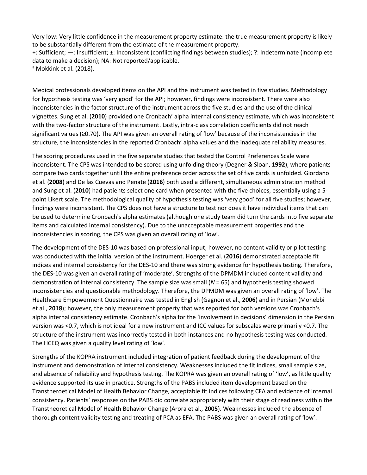Very low: Very little confidence in the measurement property estimate: the true measurement property is likely to be substantially different from the estimate of the measurement property.

+: Sufficient; —: Insufficient; ±: Inconsistent (conflicting findings between studies); ?: Indeterminate (incomplete data to make a decision); NA: Not reported/applicable.

a Mokkink et al. (2018).

Medical professionals developed items on the API and the instrument was tested in five studies. Methodology for hypothesis testing was 'very good' for the API; however, findings were inconsistent. There were also inconsistencies in the factor structure of the instrument across the five studies and the use of the clinical vignettes. Sung et al. (**2010**) provided one Cronbach' alpha internal consistency estimate, which was inconsistent with the two-factor structure of the instrument. Lastly, intra-class correlation coefficients did not reach significant values (≥0.70). The API was given an overall rating of 'low' because of the inconsistencies in the structure, the inconsistencies in the reported Cronbach' alpha values and the inadequate reliability measures.

The scoring procedures used in the five separate studies that tested the Control Preferences Scale were inconsistent. The CPS was intended to be scored using unfolding theory (Degner & Sloan, **1992**), where patients compare two cards together until the entire preference order across the set of five cards is unfolded. Giordano et al. (**2008**) and De las Cuevas and Penate (**2016**) both used a different, simultaneous administration method and Sung et al. (**2010**) had patients select one card when presented with the five choices, essentially using a 5 point Likert scale. The methodological quality of hypothesis testing was 'very good' for all five studies; however, findings were inconsistent. The CPS does not have a structure to test nor does it have individual items that can be used to determine Cronbach's alpha estimates (although one study team did turn the cards into five separate items and calculated internal consistency). Due to the unacceptable measurement properties and the inconsistencies in scoring, the CPS was given an overall rating of 'low'.

The development of the DES-10 was based on professional input; however, no content validity or pilot testing was conducted with the initial version of the instrument. Hoerger et al. (**2016**) demonstrated acceptable fit indices and internal consistency for the DES-10 and there was strong evidence for hypothesis testing. Therefore, the DES-10 was given an overall rating of 'moderate'. Strengths of the DPMDM included content validity and demonstration of internal consistency. The sample size was small (*N* = 65) and hypothesis testing showed inconsistencies and questionable methodology. Therefore, the DPMDM was given an overall rating of 'low'. The Healthcare Empowerment Questionnaire was tested in English (Gagnon et al., **2006**) and in Persian (Mohebbi et al., **2018**); however, the only measurement property that was reported for both versions was Cronbach's alpha internal consistency estimate. Cronbach's alpha for the 'involvement in decisions' dimension in the Persian version was <0.7, which is not ideal for a new instrument and ICC values for subscales were primarily <0.7. The structure of the instrument was incorrectly tested in both instances and no hypothesis testing was conducted. The HCEQ was given a quality level rating of 'low'.

Strengths of the KOPRA instrument included integration of patient feedback during the development of the instrument and demonstration of internal consistency. Weaknesses included the fit indices, small sample size, and absence of reliability and hypothesis testing. The KOPRA was given an overall rating of 'low', as little quality evidence supported its use in practice. Strengths of the PABS included item development based on the Transtheroetical Model of Health Behavior Change, acceptable fit indices following CFA and evidence of internal consistency. Patients' responses on the PABS did correlate appropriately with their stage of readiness within the Transtheoretical Model of Health Behavior Change (Arora et al., **2005**). Weaknesses included the absence of thorough content validity testing and treating of PCA as EFA. The PABS was given an overall rating of 'low'.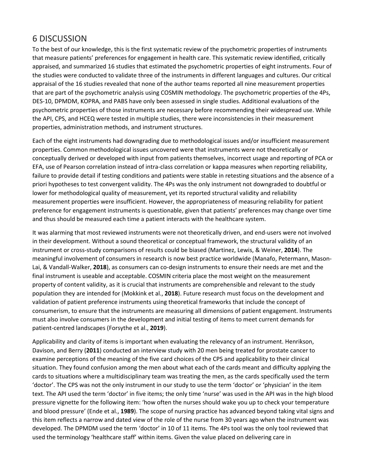# 6 DISCUSSION

To the best of our knowledge, this is the first systematic review of the psychometric properties of instruments that measure patients' preferences for engagement in health care. This systematic review identified, critically appraised, and summarized 16 studies that estimated the psychometric properties of eight instruments. Four of the studies were conducted to validate three of the instruments in different languages and cultures. Our critical appraisal of the 16 studies revealed that none of the author teams reported all nine measurement properties that are part of the psychometric analysis using COSMIN methodology. The psychometric properties of the 4Ps, DES-10, DPMDM, KOPRA, and PABS have only been assessed in single studies. Additional evaluations of the psychometric properties of those instruments are necessary before recommending their widespread use. While the API, CPS, and HCEQ were tested in multiple studies, there were inconsistencies in their measurement properties, administration methods, and instrument structures.

Each of the eight instruments had downgrading due to methodological issues and/or insufficient measurement properties. Common methodological issues uncovered were that instruments were not theoretically or conceptually derived or developed with input from patients themselves, incorrect usage and reporting of PCA or EFA, use of Pearson correlation instead of intra-class correlation or kappa measures when reporting reliability, failure to provide detail if testing conditions and patients were stable in retesting situations and the absence of a priori hypotheses to test convergent validity. The 4Ps was the only instrument not downgraded to doubtful or lower for methodological quality of measurement, yet its reported structural validity and reliability measurement properties were insufficient. However, the appropriateness of measuring reliability for patient preference for engagement instruments is questionable, given that patients' preferences may change over time and thus should be measured each time a patient interacts with the healthcare system.

It was alarming that most reviewed instruments were not theoretically driven, and end-users were not involved in their development. Without a sound theoretical or conceptual framework, the structural validity of an instrument or cross-study comparisons of results could be biased (Martinez, Lewis, & Weiner, **2014**). The meaningful involvement of consumers in research is now best practice worldwide (Manafo, Petermann, Mason-Lai, & Vandall-Walker, **2018**), as consumers can co-design instruments to ensure their needs are met and the final instrument is useable and acceptable. COSMIN criteria place the most weight on the measurement property of content validity, as it is crucial that instruments are comprehensible and relevant to the study population they are intended for (Mokkink et al., **2018**). Future research must focus on the development and validation of patient preference instruments using theoretical frameworks that include the concept of consumerism, to ensure that the instruments are measuring all dimensions of patient engagement. Instruments must also involve consumers in the development and initial testing of items to meet current demands for patient-centred landscapes (Forsythe et al., **2019**).

Applicability and clarity of items is important when evaluating the relevancy of an instrument. Henrikson, Davison, and Berry (**2011**) conducted an interview study with 20 men being treated for prostate cancer to examine perceptions of the meaning of the five card choices of the CPS and applicability to their clinical situation. They found confusion among the men about what each of the cards meant and difficulty applying the cards to situations where a multidisciplinary team was treating the men, as the cards specifically used the term 'doctor'. The CPS was not the only instrument in our study to use the term 'doctor' or 'physician' in the item text. The API used the term 'doctor' in five items; the only time 'nurse' was used in the API was in the high blood pressure vignette for the following item: 'how often the nurses should wake you up to check your temperature and blood pressure' (Ende et al., **1989**). The scope of nursing practice has advanced beyond taking vital signs and this item reflects a narrow and dated view of the role of the nurse from 30 years ago when the instrument was developed. The DPMDM used the term 'doctor' in 10 of 11 items. The 4Ps tool was the only tool reviewed that used the terminology 'healthcare staff' within items. Given the value placed on delivering care in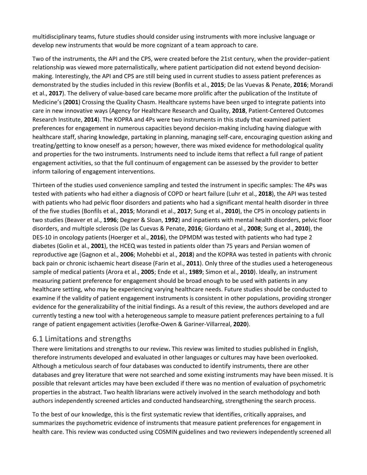multidisciplinary teams, future studies should consider using instruments with more inclusive language or develop new instruments that would be more cognizant of a team approach to care.

Two of the instruments, the API and the CPS, were created before the 21st century, when the provider–patient relationship was viewed more paternalistically, where patient participation did not extend beyond decisionmaking. Interestingly, the API and CPS are still being used in current studies to assess patient preferences as demonstrated by the studies included in this review (Bonfils et al., **2015**; De las Vuevas & Penate, **2016**; Morandi et al., **2017**). The delivery of value-based care became more prolific after the publication of the Institute of Medicine's (**2001**) Crossing the Quality Chasm. Healthcare systems have been urged to integrate patients into care in new innovative ways (Agency for Healthcare Research and Quality, **2018**, Patient-Centered Outcomes Research Institute, **2014**). The KOPRA and 4Ps were two instruments in this study that examined patient preferences for engagement in numerous capacities beyond decision-making including having dialogue with healthcare staff, sharing knowledge, partaking in planning, managing self-care, encouraging question asking and treating/getting to know oneself as a person; however, there was mixed evidence for methodological quality and properties for the two instruments. Instruments need to include items that reflect a full range of patient engagement activities, so that the full continuum of engagement can be assessed by the provider to better inform tailoring of engagement interventions.

Thirteen of the studies used convenience sampling and tested the instrument in specific samples: The 4Ps was tested with patients who had either a diagnosis of COPD or heart failure (Luhr et al., **2018**), the API was tested with patients who had pelvic floor disorders and patients who had a significant mental health disorder in three of the five studies (Bonfils et al., **2015**; Morandi et al., **2017**; Sung et al., **2010**), the CPS in oncology patients in two studies (Beaver et al., **1996**; Degner & Sloan, **1992**) and inpatients with mental health disorders, pelvic floor disorders, and multiple sclerosis (De las Cuevas & Penate, **2016**; Giordano et al., **2008**; Sung et al., **2010**), the DES-10 in oncology patients (Hoerger et al., **2016**), the DPMDM was tested with patients who had type 2 diabetes (Golin et al., **2001**), the HCEQ was tested in patients older than 75 years and Persian women of reproductive age (Gagnon et al., **2006**; Mohebbi et al., **2018**) and the KOPRA was tested in patients with chronic back pain or chronic ischaemic heart disease (Farin et al., **2011**). Only three of the studies used a heterogeneous sample of medical patients (Arora et al., **2005**; Ende et al., **1989**; Simon et al., **2010**). Ideally, an instrument measuring patient preference for engagement should be broad enough to be used with patients in any healthcare setting, who may be experiencing varying healthcare needs. Future studies should be conducted to examine if the validity of patient engagement instruments is consistent in other populations, providing stronger evidence for the generalizability of the initial findings. As a result of this review, the authors developed and are currently testing a new tool with a heterogeneous sample to measure patient preferences pertaining to a full range of patient engagement activities (Jerofke-Owen & Gariner-Villarreal, **2020**).

#### 6.1 Limitations and strengths

There were limitations and strengths to our review**.** This review was limited to studies published in English, therefore instruments developed and evaluated in other languages or cultures may have been overlooked. Although a meticulous search of four databases was conducted to identify instruments, there are other databases and grey literature that were not searched and some existing instruments may have been missed. It is possible that relevant articles may have been excluded if there was no mention of evaluation of psychometric properties in the abstract. Two health librarians were actively involved in the search methodology and both authors independently screened articles and conducted handsearching, strengthening the search process.

To the best of our knowledge, this is the first systematic review that identifies, critically appraises, and summarizes the psychometric evidence of instruments that measure patient preferences for engagement in health care. This review was conducted using COSMIN guidelines and two reviewers independently screened all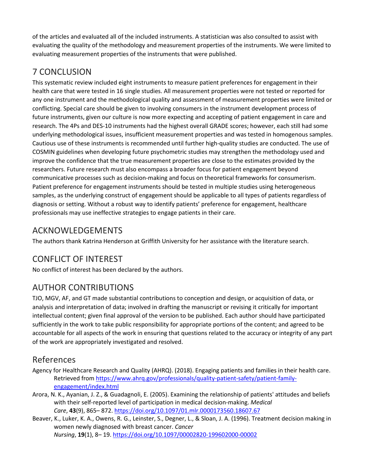of the articles and evaluated all of the included instruments. A statistician was also consulted to assist with evaluating the quality of the methodology and measurement properties of the instruments. We were limited to evaluating measurement properties of the instruments that were published.

# 7 CONCLUSION

This systematic review included eight instruments to measure patient preferences for engagement in their health care that were tested in 16 single studies. All measurement properties were not tested or reported for any one instrument and the methodological quality and assessment of measurement properties were limited or conflicting. Special care should be given to involving consumers in the instrument development process of future instruments, given our culture is now more expecting and accepting of patient engagement in care and research. The 4Ps and DES-10 instruments had the highest overall GRADE scores; however, each still had some underlying methodological issues, insufficient measurement properties and was tested in homogenous samples. Cautious use of these instruments is recommended until further high-quality studies are conducted. The use of COSMIN guidelines when developing future psychometric studies may strengthen the methodology used and improve the confidence that the true measurement properties are close to the estimates provided by the researchers. Future research must also encompass a broader focus for patient engagement beyond communicative processes such as decision-making and focus on theoretical frameworks for consumerism. Patient preference for engagement instruments should be tested in multiple studies using heterogeneous samples, as the underlying construct of engagement should be applicable to all types of patients regardless of diagnosis or setting. Without a robust way to identify patients' preference for engagement, healthcare professionals may use ineffective strategies to engage patients in their care.

# ACKNOWLEDGEMENTS

The authors thank Katrina Henderson at Griffith University for her assistance with the literature search.

# CONFLICT OF INTEREST

No conflict of interest has been declared by the authors.

# AUTHOR CONTRIBUTIONS

TJO, MGV, AF, and GT made substantial contributions to conception and design, or acquisition of data, or analysis and interpretation of data; involved in drafting the manuscript or revising it critically for important intellectual content; given final approval of the version to be published. Each author should have participated sufficiently in the work to take public responsibility for appropriate portions of the content; and agreed to be accountable for all aspects of the work in ensuring that questions related to the accuracy or integrity of any part of the work are appropriately investigated and resolved.

# References

- Agency for Healthcare Research and Quality (AHRQ). (2018). Engaging patients and families in their health care. Retrieved from [https://www.ahrq.gov/professionals/quality-patient-safety/patient-family](https://www.ahrq.gov/professionals/quality-patient-safety/patient-family-engagement/index.html)[engagement/index.html](https://www.ahrq.gov/professionals/quality-patient-safety/patient-family-engagement/index.html)
- Arora, N. K., Ayanian, J. Z., & Guadagnoli, E. (2005). Examining the relationship of patients' attitudes and beliefs with their self-reported level of participation in medical decision-making. *Medical Care*, **43**(9), 865– 872. <https://doi.org/10.1097/01.mlr.0000173560.18607.67>
- Beaver, K., Luker, K. A., Owens, R. G., Leinster, S., Degner, L., & Sloan, J. A. (1996). Treatment decision making in women newly diagnosed with breast cancer. *Cancer Nursing*, **19**(1), 8– 19. <https://doi.org/10.1097/00002820-199602000-00002>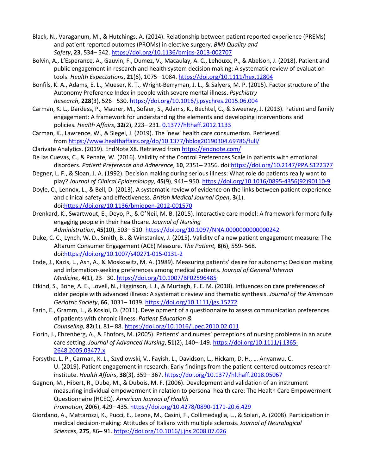- Black, N., Varaganum, M., & Hutchings, A. (2014). Relationship between patient reported experience (PREMs) and patient reported outomes (PROMs) in elective surgery. *BMJ Quality and Safety*, **23**, 534– 542. <https://doi.org/10.1136/bmjqs-2013-002707>
- Bolvin, A., L'Esperance, A., Gauvin, F., Dumez, V., Macaulay, A. C., Lehouxx, P., & Abelson, J. (2018). Patient and public engagement in research and health system decision making: A systematic review of evaluation tools. *Health Expectations*, **21**(6), 1075– 1084. <https://doi.org/10.1111/hex.12804>
- Bonfils, K. A., Adams, E. L., Mueser, K. T., Wright-Berryman, J. L., & Salyers, M. P. (2015). Factor structure of the Autonomy Preference Index in people with severe mental illness. *Psychiatry Research*, **228**(3), 526– 530. <https://doi.org/10.1016/j.psychres.2015.06.004>
- Carman, K. L., Dardess, P., Maurer, M., Sofaer, S., Adams, K., Bechtel, C., & Sweeney, J. (2013). Patient and family engagement: A framework for understanding the elements and developing interventions and policies. *Health Affairs*, **32**(2), 223– 231. [0.1377/hlthaff.2012.1133](https://onlinelibrary.wiley.com/doi/full/10.1111/0.1377/hlthaff.2012.1133)
- Carman, K., Lawrence, W., & Siegel, J. (2019). The 'new' health care consumerism. Retrieved from <https://www.healthaffairs.org/do/10.1377/hblog20190304.69786/full/>
- Clarivate Analytics. (2019). EndNote X8. Retrieved from <https://endnote.com/>
- De las Cuevas, C., & Penate, W. (2016). Validity of the Control Preferences Scale in patients with emotional disorders. *Patient Preference and Adherence*, **10**, 2351– 2356. doi[:https://doi.org/10.2147/PPA.S122377](https://doi.org/10.2147/PPA.S122377)
- Degner, L. F., & Sloan, J. A. (1992). Decision making during serious illness: What role do patients really want to play? *Journal of Clinical Epidemiology*, **45**(9), 941– 950. [https://doi.org/10.1016/0895-4356\(92\)90110-9](https://doi.org/10.1016/0895-4356(92)90110-9)
- Doyle, C., Lennox, L., & Bell, D. (2013). A systematic review of evidence on the links between patient experience and clinical safety and effectiveness. *British Medical Journal Open*, **3**(1). doi[:https://doi.org/10.1136/bmjopen-2012-001570](https://doi.org/10.1136/bmjopen-2012-001570)
- Drenkard, K., Swartwout, E., Deyo, P., & O'Neil, M. B. (2015). Interactive care model: A framework for more fully engaging people in their healthcare. *Journal of Nursing Administration*, **45**(10), 503– 510. <https://doi.org/10.1097/NNA.0000000000000242>
- Duke, C. C., Lynch, W. D., Smith, B., & Winstanley, J. (2015). Validity of a new patient engagement measure: The Altarum Consumer Engagement (ACE) Measure. *The Patient,* **8**(6), 559- 568. doi[:https://doi.org/10.1007/s40271-015-0131-2](https://doi.org/10.1007/s40271-015-0131-2)
- Ende, J., Kazis, L., Ash, A., & Moskowitz, M. A. (1989). Measuring patients' desire for autonomy: Decision making and information-seeking preferences among medical patients. *Journal of General Internal Medicine*, **4**(1), 23– 30. <https://doi.org/10.1007/BF02596485>
- Etkind, S., Bone, A. E., Lovell, N., Higginson, I. J., & Murtagh, F. E. M. (2018). Influences on care preferences of older people with advanced illness: A systematic review and thematic synthesis. *Journal of the American Geriatric Society*, **66**, 1031– 1039. <https://doi.org/10.1111/jgs.15272>
- Farin, E., Gramm, L., & Kosiol, D. (2011). Development of a questionnaire to assess communication preferences of patients with chronic illness. *Patient Education & Counseling*, **82**(1), 81– 88. <https://doi.org/10.1016/j.pec.2010.02.011>
- Florin, J., Ehrenberg, A., & Ehnfors, M. (2005). Patients' and nurses' perceptions of nursing problems in an acute care setting. *Journal of Advanced Nursing*, **51**(2), 140– 149. [https://doi.org/10.1111/j.1365-](https://doi.org/10.1111/j.1365-2648.2005.03477.x) [2648.2005.03477.x](https://doi.org/10.1111/j.1365-2648.2005.03477.x)
- Forsythe, L. P., Carman, K. L., Szydlowski, V., Fayish, L., Davidson, L., Hickam, D. H., … Anyanwu, C. U. (2019). Patient engagement in research: Early findings from the patient-centered outcomes research institute. *Health Affairs*, **38**(3), 359– 367. <https://doi.org/10.1377/hlthaff.2018.05067>
- Gagnon, M., Hibert, R., Dube, M., & Dubois, M. F. (2006). Development and validation of an instrument measuring individual empowerment in relation to personal health care: The Health Care Empowerment Questionnaire (HCEQ). *American Journal of Health* 
	- *Promotion*, **20**(6), 429– 435. <https://doi.org/10.4278/0890-1171-20.6.429>
- Giordano, A., Mattarozzi, K., Pucci, E., Leone, M., Casini, F., Collimedaglia, L., & Solari, A. (2008). Participation in medical decision-making: Attitudes of Italians with multiple sclerosis. *Journal of Neurological Sciences*, **275**, 86– 91. <https://doi.org/10.1016/j.jns.2008.07.026>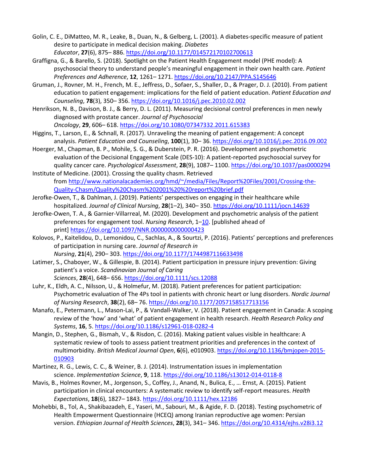- Golin, C. E., DiMatteo, M. R., Leake, B., Duan, N., & Gelberg, L. (2001). A diabetes-specific measure of patient desire to participate in medical decision making. *Diabetes Educator*, **27**(6), 875– 886. <https://doi.org/10.1177/014572170102700613>
- Graffigna, G., & Barello, S. (2018). Spotlight on the Patient Health Engagement model (PHE model): A psychosocial theory to understand people's meaningful engagement in their own health care. *Patient Preferences and Adherence*, **12**, 1261– 1271. <https://doi.org/10.2147/PPA.S145646>
- Gruman, J., Rovner, M. H., French, M. E., Jeffress, D., Sofaer, S., Shaller, D., & Prager, D. J. (2010). From patient education to patient engagement: implications for the field of patient education. *Patient Education and Counseling*, **78**(3), 350– 356. <https://doi.org/10.1016/j.pec.2010.02.002>
- Henrikson, N. B., Davison, B. J., & Berry, D. L. (2011). Measuring decisional control preferences in men newly diagnosed with prostate cancer. *Journal of Psychosocial*
- *Oncology*, **29**, 606– 618. <https://doi.org/10.1080/07347332.2011.615383> Higgins, T., Larson, E., & Schnall, R. (2017). Unraveling the meaning of patient engagement: A concept
- analysis. *Patient Education and Counseling*, **100**(1), 30– 36. <https://doi.org/10.1016/j.pec.2016.09.002> Hoerger, M., Chapman, B. P., Mohile, S. G., & Duberstein, P. R. (2016). Development and psychometric
- evaluation of the Decisional Engagement Scale (DES-10): A patient-reported psychosocial survey for quality cancer care. *Psychological Assessment*, **28**(9), 1087– 1100. <https://doi.org/10.1037/pas0000294> Institute of Medicine. (2001). Crossing the quality chasm. Retrieved
- from [http://www.nationalacademies.org/hmd/~/media/Files/Report%20Files/2001/Crossing-the-](http://www.nationalacademies.org/hmd/%7E/media/Files/Report%2520Files/2001/Crossing-the-Quality-Chasm/Quality%2520Chasm%25202001%2520%2520report%2520brief.pdf)[Quality-Chasm/Quality%20Chasm%202001%20%20report%20brief.pdf](http://www.nationalacademies.org/hmd/%7E/media/Files/Report%2520Files/2001/Crossing-the-Quality-Chasm/Quality%2520Chasm%25202001%2520%2520report%2520brief.pdf)
- Jerofke-Owen, T., & Dahlman, J. (2019). Patients' perspectives on engaging in their healthcare while hospitalized. *Journal of Clinical Nursing*, **28**(1–2), 340– 350. <https://doi.org/10.1111/jocn.14639>
- Jerofke-Owen, T. A., & Garnier-Villarreal, M. (2020). Development and psychometric analysis of the patient preferences for engagement tool. *Nursing Research*, 1[–10.](https://onlinelibrary.wiley.com/doi/full/10.1111/10) [published ahead of print] <https://doi.org/10.1097/NNR.0000000000000423>
- Kolovos, P., Kaitelidou, D., Lemonidou, C., Sachlas, A., & Sourtzi, P. (2016). Patients' perceptions and preferences of participation in nursing care. *Journal of Research in*

*Nursing*, **21**(4), 290– 303. <https://doi.org/10.1177/1744987116633498>

- Latimer, S., Chaboyer, W., & Gillespie, B. (2014). Patient participation in pressure injury prevention: Giving patient's a voice. *Scandinavian Journal of Caring Sciences*, **28**(4), 648– 656. <https://doi.org/10.1111/scs.12088>
- Luhr, K., Eldh, A. C., Nilsson, U., & Holmefur, M. (2018). Patient preferences for patient participation: Psychometric evaluation of The 4Ps tool in patients with chronic heart or lung disorders. *Nordic Journal of Nursing Research*, **38**(2), 68– 76. <https://doi.org/10.1177/2057158517713156>
- Manafo, E., Petermann, L., Mason-Lai, P., & Vandall-Walker, V. (2018). Patient engagement in Canada: A scoping review of the 'how' and 'what' of patient engagement in health research. *Health Research Policy and Systems*, **16**, 5. <https://doi.org/10.1186/s12961-018-0282-4>
- Mangin, D., Stephen, G., Bismah, V., & Risdon, C. (2016). Making patient values visible in healthcare: A systematic review of tools to assess patient treatment priorities and preferences in the context of multimorbidity. *British Medical Journal Open*, **6**(6), e010903. [https://doi.org/10.1136/bmjopen-2015-](https://doi.org/10.1136/bmjopen-2015-010903) [010903](https://doi.org/10.1136/bmjopen-2015-010903)
- Martinez, R. G., Lewis, C. C., & Weiner, B. J. (2014). Instrumentation issues in implementation science. *Implementation Science*, **9**, 118. <https://doi.org/10.1186/s13012-014-0118-8>
- Mavis, B., Holmes Rovner, M., Jorgenson, S., Coffey, J., Anand, N., Bulica, E., … Ernst, A. (2015). Patient participation in clinical encounters: A systematic review to identify self-report measures. *Health Expectations*, **18**(6), 1827– 1843. <https://doi.org/10.1111/hex.12186>
- Mohebbi, B., Tol, A., Shakibazadeh, E., Yaseri, M., Sabouri, M., & Agide, F. D. (2018). Testing psychometric of Health Empowerment Questionnaire (HCEQ) among Iranian reproductive age women: Persian version. *Ethiopian Journal of Health Sciences*, **28**(3), 341– 346. <https://doi.org/10.4314/ejhs.v28i3.12>